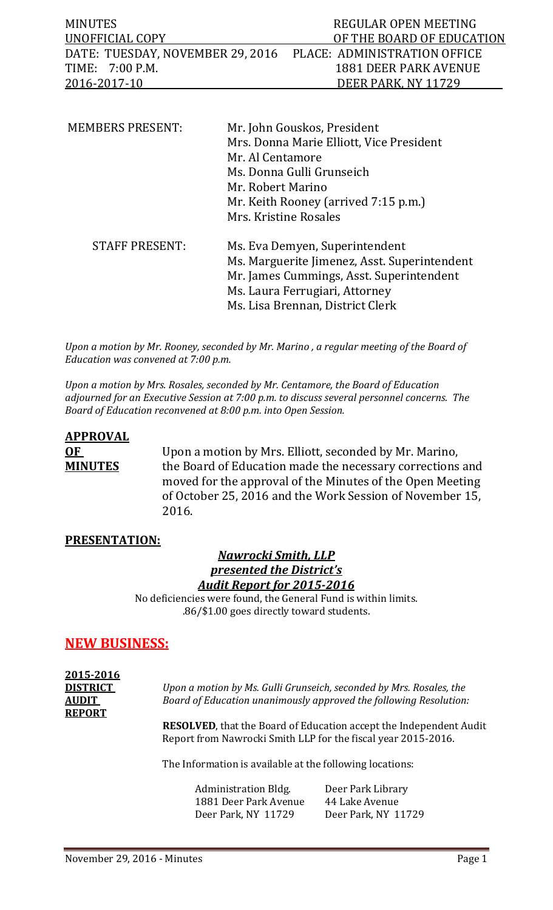| MINUTES                                                       | REGULAR OPEN MEETING      |
|---------------------------------------------------------------|---------------------------|
| UNOFFICIAL COPY                                               | OF THE BOARD OF EDUCATION |
| DATE: TUESDAY, NOVEMBER 29, 2016 PLACE: ADMINISTRATION OFFICE |                           |
| TIME: 7:00 P.M.                                               | 1881 DEER PARK AVENUE     |
| 2016-2017-10                                                  | DEER PARK, NY 11729       |

| <b>MEMBERS PRESENT:</b> | Mr. John Gouskos, President<br>Mrs. Donna Marie Elliott, Vice President<br>Mr. Al Centamore<br>Ms. Donna Gulli Grunseich<br>Mr. Robert Marino<br>Mr. Keith Rooney (arrived 7:15 p.m.)<br>Mrs. Kristine Rosales |
|-------------------------|----------------------------------------------------------------------------------------------------------------------------------------------------------------------------------------------------------------|
| <b>STAFF PRESENT:</b>   | Ms. Eva Demyen, Superintendent<br>Ms. Marguerite Jimenez, Asst. Superintendent<br>Mr. James Cummings, Asst. Superintendent<br>Ms. Laura Ferrugiari, Attorney<br>Ms. Lisa Brennan, District Clerk               |

*Upon a motion by Mr. Rooney, seconded by Mr. Marino , a regular meeting of the Board of Education was convened at 7:00 p.m.*

*Upon a motion by Mrs. Rosales, seconded by Mr. Centamore, the Board of Education adjourned for an Executive Session at 7:00 p.m. to discuss several personnel concerns. The Board of Education reconvened at 8:00 p.m. into Open Session.* 

# **APPROVAL OF** Upon a motion by Mrs. Elliott, seconded by Mr. Marino,<br>**MINUTES** the Board of Education made the necessary corrections the Board of Education made the necessary corrections and moved for the approval of the Minutes of the Open Meeting of October 25, 2016 and the Work Session of November 15, 2016.

## **PRESENTATION:**

## *Nawrocki Smith, LLP presented the District's Audit Report for 2015-2016*

No deficiencies were found, the General Fund is within limits. .86/\$1.00 goes directly toward students.

# **NEW BUSINESS:**

| 2015-2016       |                                                                       |
|-----------------|-----------------------------------------------------------------------|
| <b>DISTRICT</b> | Upon a motion by Ms. Gulli Grunseich, seconded by Mrs. Rosales, the   |
| <b>AUDIT</b>    | Board of Education unanimously approved the following Resolution:     |
| <b>REPORT</b>   |                                                                       |
|                 | <b>RESOLVED</b> that the Board of Education accent the Independent Au |

dent Audit Report from Nawrocki Smith LLP for the fiscal year 2015-2016.

The Information is available at the following locations:

Administration Bldg. Deer Park Library<br>1881 Deer Park Avenue 44 Lake Avenue 1881 Deer Park Avenue 44 Lake Avenue<br>Deer Park, NY 11729 Deer Park, NY 11729 Deer Park, NY 11729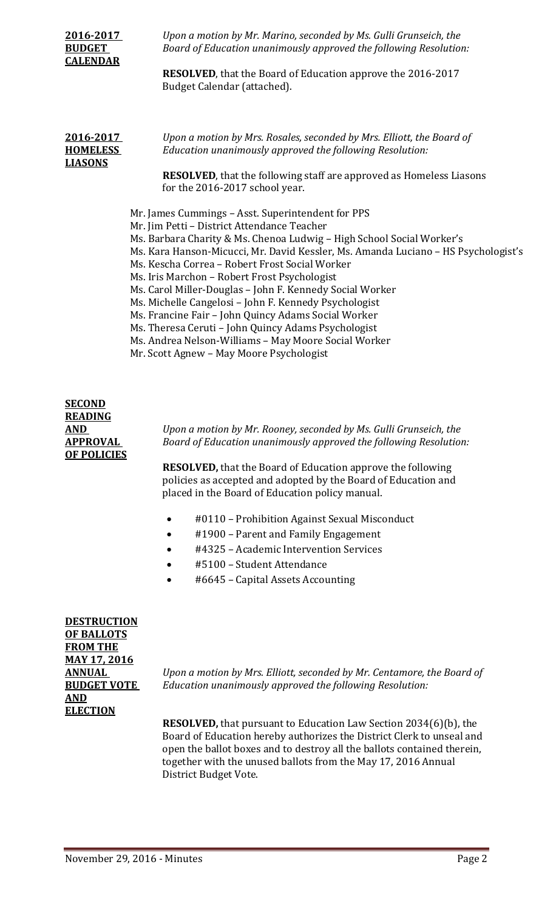| 2016-2017<br><b>BUDGET</b><br><b>CALENDAR</b>  | Upon a motion by Mr. Marino, seconded by Ms. Gulli Grunseich, the<br>Board of Education unanimously approved the following Resolution:<br><b>RESOLVED</b> , that the Board of Education approve the 2016-2017<br>Budget Calendar (attached).                                                                                                                                                                                                                                                                                                                                                                                                                                                                                                                                                                                                                                                                                                                   |
|------------------------------------------------|----------------------------------------------------------------------------------------------------------------------------------------------------------------------------------------------------------------------------------------------------------------------------------------------------------------------------------------------------------------------------------------------------------------------------------------------------------------------------------------------------------------------------------------------------------------------------------------------------------------------------------------------------------------------------------------------------------------------------------------------------------------------------------------------------------------------------------------------------------------------------------------------------------------------------------------------------------------|
| 2016-2017<br><b>HOMELESS</b><br><b>LIASONS</b> | Upon a motion by Mrs. Rosales, seconded by Mrs. Elliott, the Board of<br>Education unanimously approved the following Resolution:<br><b>RESOLVED</b> , that the following staff are approved as Homeless Liasons<br>for the 2016-2017 school year.<br>Mr. James Cummings - Asst. Superintendent for PPS<br>Mr. Jim Petti - District Attendance Teacher<br>Ms. Barbara Charity & Ms. Chenoa Ludwig - High School Social Worker's<br>Ms. Kara Hanson-Micucci, Mr. David Kessler, Ms. Amanda Luciano - HS Psychologist's<br>Ms. Kescha Correa - Robert Frost Social Worker<br>Ms. Iris Marchon - Robert Frost Psychologist<br>Ms. Carol Miller-Douglas - John F. Kennedy Social Worker<br>Ms. Michelle Cangelosi - John F. Kennedy Psychologist<br>Ms. Francine Fair - John Quincy Adams Social Worker<br>Ms. Theresa Ceruti - John Quincy Adams Psychologist<br>Ms. Andrea Nelson-Williams - May Moore Social Worker<br>Mr. Scott Agnew - May Moore Psychologist |

# **SECOND READING OF POLICIES**

**AND** *Upon a motion by Mr. Rooney, seconded by Ms. Gulli Grunseich, the*  **APPROVAL** *Board of Education unanimously approved the following Resolution:*

> **RESOLVED,** that the Board of Education approve the following policies as accepted and adopted by the Board of Education and placed in the Board of Education policy manual.

- #0110 Prohibition Against Sexual Misconduct
- #1900 Parent and Family Engagement
- #4325 Academic Intervention Services
- #5100 Student Attendance
- #6645 Capital Assets Accounting

**DESTRUCTION OF BALLOTS FROM THE MAY 17, 2016 AND ELECTION**

**ANNUAL** *Upon a motion by Mrs. Elliott, seconded by Mr. Centamore, the Board of*  **BUDGET VOTE** *Education unanimously approved the following Resolution:*

> **RESOLVED,** that pursuant to Education Law Section 2034(6)(b), the Board of Education hereby authorizes the District Clerk to unseal and open the ballot boxes and to destroy all the ballots contained therein, together with the unused ballots from the May 17, 2016 Annual District Budget Vote.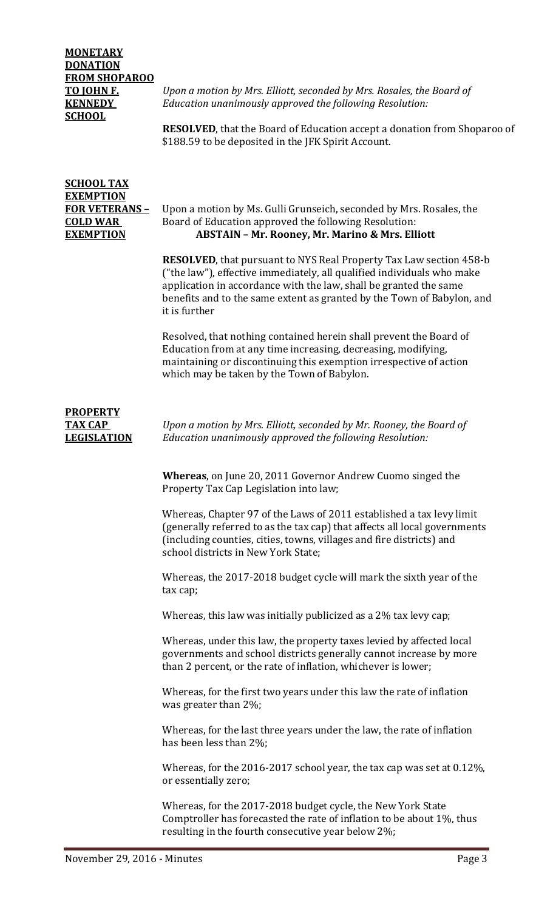# **MONETARY DONATION FROM SHOPAROO SCHOOL**

**TO JOHN F.** *Upon a motion by Mrs. Elliott, seconded by Mrs. Rosales, the Board of* **KENNEDY** *Education unanimously approved the following Resolution:*

> **RESOLVED**, that the Board of Education accept a donation from Shoparoo of \$188.59 to be deposited in the JFK Spirit Account.

# **SCHOOL TAX EXEMPTION**

#### **FOR VETERANS** – Upon a motion by Ms. Gulli Grunseich, seconded by Mrs. Rosales, the **COLD WAR** Board of Education approved the following Resolution: **COLD WAR** Board of Education approved the following Resolution:<br>**EXEMPTION ABSTAIN - Mr. Roonev. Mr. Marino & Mrs. Ell EXEMPTION ABSTAIN – Mr. Rooney, Mr. Marino & Mrs. Elliott**

**RESOLVED**, that pursuant to NYS Real Property Tax Law section 458-b ("the law"), effective immediately, all qualified individuals who make application in accordance with the law, shall be granted the same benefits and to the same extent as granted by the Town of Babylon, and it is further

Resolved, that nothing contained herein shall prevent the Board of Education from at any time increasing, decreasing, modifying, maintaining or discontinuing this exemption irrespective of action which may be taken by the Town of Babylon.

# **PROPERTY**

**TAX CAP** *Upon a motion by Mrs. Elliott, seconded by Mr. Rooney, the Board of*  **LEGISLATION** *Education unanimously approved the following Resolution:*

> **Whereas**, on June 20, 2011 Governor Andrew Cuomo singed the Property Tax Cap Legislation into law;

Whereas, Chapter 97 of the Laws of 2011 established a tax levy limit (generally referred to as the tax cap) that affects all local governments (including counties, cities, towns, villages and fire districts) and school districts in New York State;

Whereas, the 2017-2018 budget cycle will mark the sixth year of the tax cap;

Whereas, this law was initially publicized as a 2% tax levy cap;

Whereas, under this law, the property taxes levied by affected local governments and school districts generally cannot increase by more than 2 percent, or the rate of inflation, whichever is lower;

Whereas, for the first two years under this law the rate of inflation was greater than 2%;

Whereas, for the last three years under the law, the rate of inflation has been less than 2%;

Whereas, for the 2016-2017 school year, the tax cap was set at 0.12%, or essentially zero;

Whereas, for the 2017-2018 budget cycle, the New York State Comptroller has forecasted the rate of inflation to be about 1%, thus resulting in the fourth consecutive year below 2%;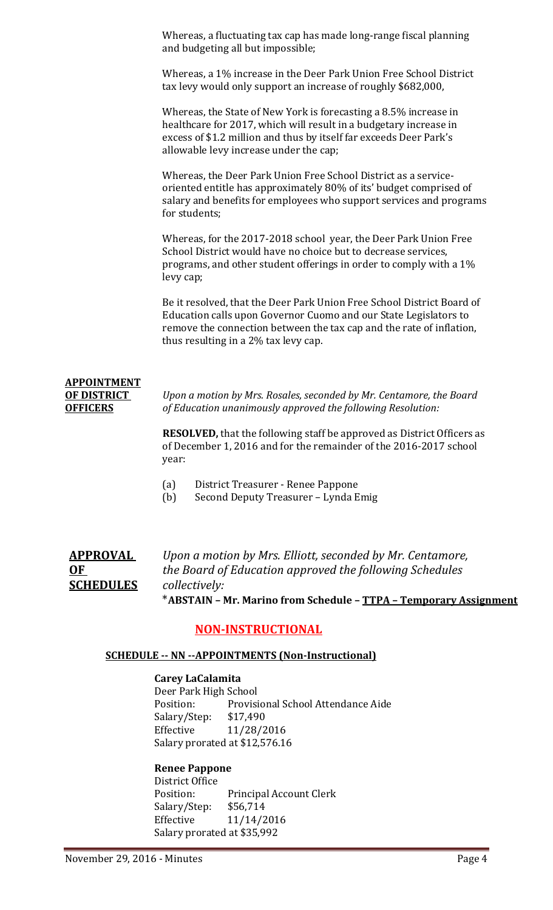Whereas, a fluctuating tax cap has made long-range fiscal planning and budgeting all but impossible;

Whereas, a 1% increase in the Deer Park Union Free School District tax levy would only support an increase of roughly \$682,000,

Whereas, the State of New York is forecasting a 8.5% increase in healthcare for 2017, which will result in a budgetary increase in excess of \$1.2 million and thus by itself far exceeds Deer Park's allowable levy increase under the cap;

Whereas, the Deer Park Union Free School District as a serviceoriented entitle has approximately 80% of its' budget comprised of salary and benefits for employees who support services and programs for students;

Whereas, for the 2017-2018 school year, the Deer Park Union Free School District would have no choice but to decrease services, programs, and other student offerings in order to comply with a 1% levy cap;

Be it resolved, that the Deer Park Union Free School District Board of Education calls upon Governor Cuomo and our State Legislators to remove the connection between the tax cap and the rate of inflation, thus resulting in a 2% tax levy cap.

# **APPOINTMENT**

**OF DISTRICT** *Upon a motion by Mrs. Rosales, seconded by Mr. Centamore, the Board* **OFFICERS** *of Education unanimously approved the following Resolution:*

> **RESOLVED,** that the following staff be approved as District Officers as of December 1, 2016 and for the remainder of the 2016-2017 school year:

- (a) District Treasurer Renee Pappone
- (b) Second Deputy Treasurer Lynda Emig

**APPROVAL** *Upon a motion by Mrs. Elliott, seconded by Mr. Centamore,*  **OF** *the Board of Education approved the following Schedules* **SCHEDULES** *collectively:*

\***ABSTAIN – Mr. Marino from Schedule – TTPA – Temporary Assignment**

# **NON-INSTRUCTIONAL**

#### **SCHEDULE -- NN --APPOINTMENTS (Non-Instructional)**

#### **Carey LaCalamita**

Deer Park High School<br>Position: Provisi Provisional School Attendance Aide<br>\$17,490 Salary/Step:<br>Effective Effective 11/28/2016 Salary prorated at \$12,576.16

#### **Renee Pappone**

District Office<br>Position: Principal Account Clerk<br>\$56,714 Salary/Step: Effective 11/14/2016 Salary prorated at \$35,992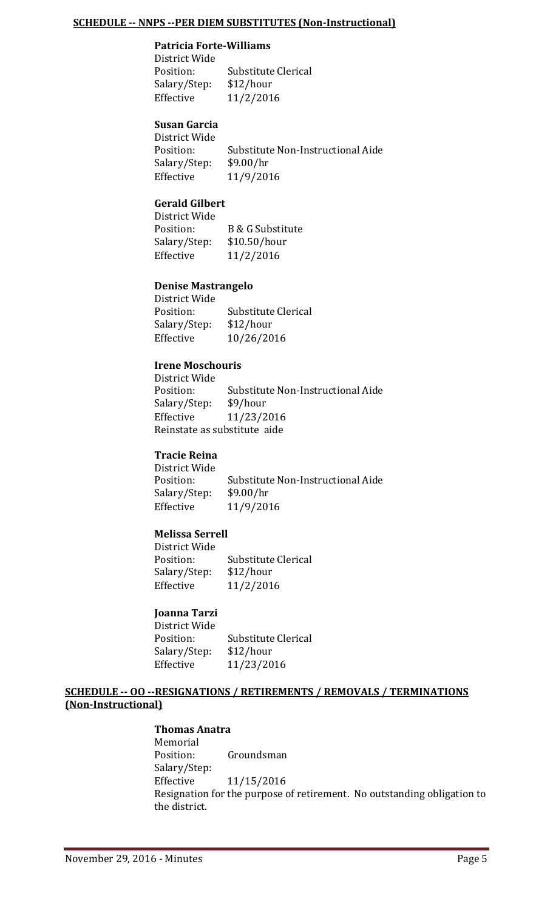#### **SCHEDULE -- NNPS --PER DIEM SUBSTITUTES (Non-Instructional)**

#### **Patricia Forte-Williams**

District Wide Substitute Clerical<br>\$12/hour Salary/Step:<br>Effective Effective 11/2/2016

# **Susan Garcia**

District Wide Substitute Non-Instructional Aide<br>\$9.00/hr Salary/Step:<br>Effective Effective 11/9/2016

#### **Gerald Gilbert**

District Wide B & G Substitute<br>\$10.50/hour Salary/Step:<br>Effective Effective 11/2/2016

#### **Denise Mastrangelo**

District Wide Substitute Clerical<br>\$12/hour Salary/Step:<br>Effective Effective 10/26/2016

#### **Irene Moschouris**

District Wide Substitute Non-Instructional Aide<br>\$9/hour Salary/Step:<br>Effective Effective 11/23/2016 Reinstate as substitute aide

#### **Tracie Reina**

District Wide Substitute Non-Instructional Aide<br>\$9.00/hr Salary/Step:<br>Effective Effective 11/9/2016

#### **Melissa Serrell**

District Wide Substitute Clerical<br>\$12/hour Salary/Step:<br>Effective Effective 11/2/2016

#### **Joanna Tarzi**

District Wide Substitute Clerical<br>\$12/hour Salary/Step:<br>Effective Effective 11/23/2016

#### **SCHEDULE -- OO --RESIGNATIONS / RETIREMENTS / REMOVALS / TERMINATIONS (Non-Instructional)**

#### **Thomas Anatra**

Memorial<br>Position: Groundsman Salary/Step:<br>Effective Effective 11/15/2016 Resignation for the purpose of retirement. No outstanding obligation to the district.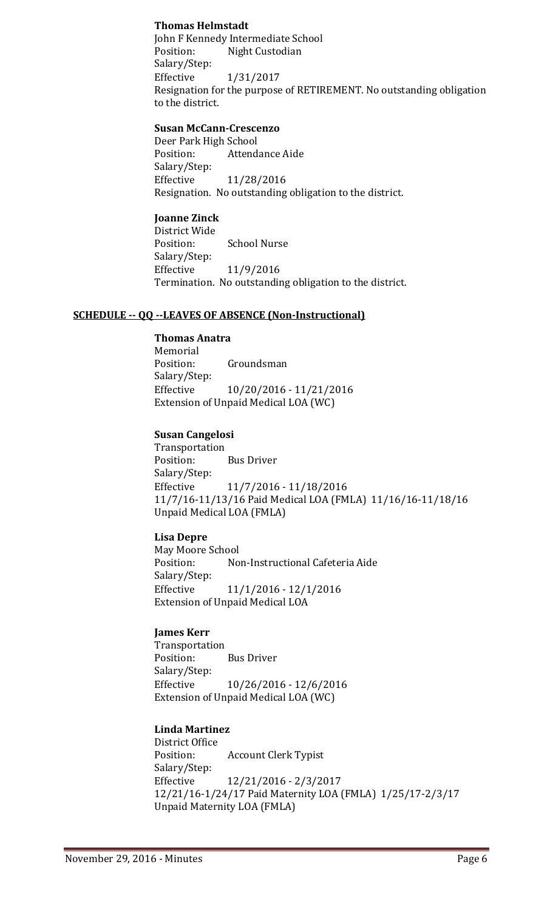#### **Thomas Helmstadt**

John F Kennedy Intermediate School<br>Position: Night Custodian Night Custodian Salary/Step:<br>Effective Effective 1/31/2017 Resignation for the purpose of RETIREMENT. No outstanding obligation to the district.

#### **Susan McCann-Crescenzo**

Deer Park High School<br>Position: Attend Attendance Aide Salary/Step:<br>Effective Effective 11/28/2016 Resignation. No outstanding obligation to the district.

#### **Joanne Zinck**

District Wide<br>Position: School Nurse Salary/Step: Effective 11/9/2016 Termination. No outstanding obligation to the district.

#### **SCHEDULE -- QQ --LEAVES OF ABSENCE (Non-Instructional)**

#### **Thomas Anatra**

Memorial<br>Position: Groundsman Salary/Step:<br>Effective Effective 10/20/2016 - 11/21/2016 Extension of Unpaid Medical LOA (WC)

#### **Susan Cangelosi**

Transportation<br>Position: **Bus Driver** Salary/Step:<br>Effective Effective 11/7/2016 - 11/18/2016 11/7/16-11/13/16 Paid Medical LOA (FMLA) 11/16/16-11/18/16 Unpaid Medical LOA (FMLA)

#### **Lisa Depre**

May Moore School<br>Position: No Non-Instructional Cafeteria Aide Salary/Step: Effective 11/1/2016 - 12/1/2016 Extension of Unpaid Medical LOA

#### **James Kerr**

Transportation<br>Position: **Bus Driver** Salary/Step:<br>Effective Effective 10/26/2016 - 12/6/2016 Extension of Unpaid Medical LOA (WC)

#### **Linda Martinez**

District Office **Account Clerk Typist** Salary/Step:<br>Effective Effective 12/21/2016 - 2/3/2017 12/21/16-1/24/17 Paid Maternity LOA (FMLA) 1/25/17-2/3/17 Unpaid Maternity LOA (FMLA)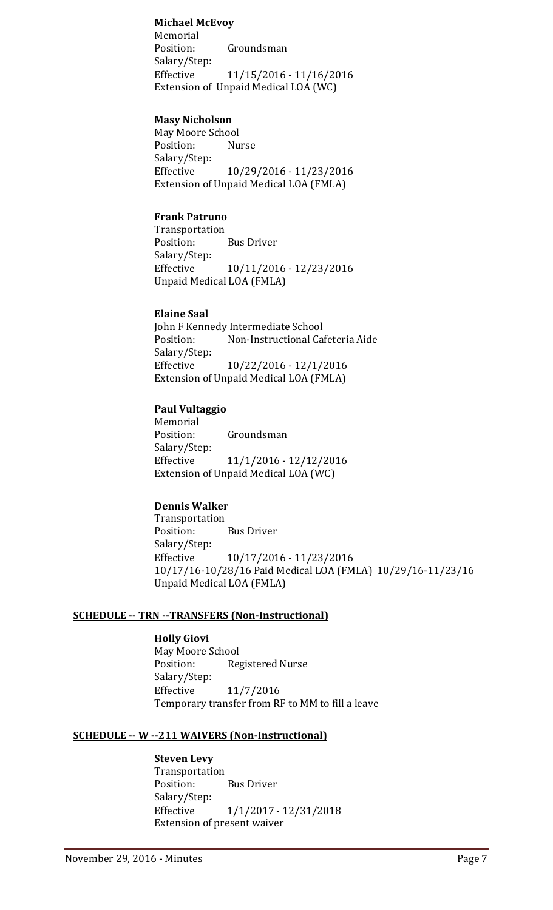#### **Michael McEvoy**

Memorial<br>Position: Groundsman Salary/Step:<br>Effective Effective 11/15/2016 - 11/16/2016 Extension of Unpaid Medical LOA (WC)

#### **Masy Nicholson**

May Moore School Position: Salary/Step:<br>Effective Effective 10/29/2016 - 11/23/2016 Extension of Unpaid Medical LOA (FMLA)

#### **Frank Patruno**

Transportation<br>Position: **Bus Driver** Salary/Step:<br>Effective Effective 10/11/2016 - 12/23/2016 Unpaid Medical LOA (FMLA)

#### **Elaine Saal**

John F Kennedy Intermediate School<br>Position: Non-Instructional Ca Non-Instructional Cafeteria Aide Salary/Step:<br>Effective Effective 10/22/2016 - 12/1/2016 Extension of Unpaid Medical LOA (FMLA)

#### **Paul Vultaggio**

Memorial<br>Position: Groundsman Salary/Step: Effective 11/1/2016 - 12/12/2016 Extension of Unpaid Medical LOA (WC)

#### **Dennis Walker**

Transportation<br>Position: **Bus Driver** Salary/Step:<br>Effective Effective 10/17/2016 - 11/23/2016 10/17/16-10/28/16 Paid Medical LOA (FMLA) 10/29/16-11/23/16 Unpaid Medical LOA (FMLA)

#### **SCHEDULE -- TRN --TRANSFERS (Non-Instructional)**

**Holly Giovi** May Moore School<br>Position: Reg Registered Nurse Salary/Step: Effective 11/7/2016 Temporary transfer from RF to MM to fill a leave

#### **SCHEDULE -- W --211 WAIVERS (Non-Instructional)**

#### **Steven Levy**

Transportation **Bus Driver** Salary/Step:<br>Effective Effective 1/1/2017 - 12/31/2018 Extension of present waiver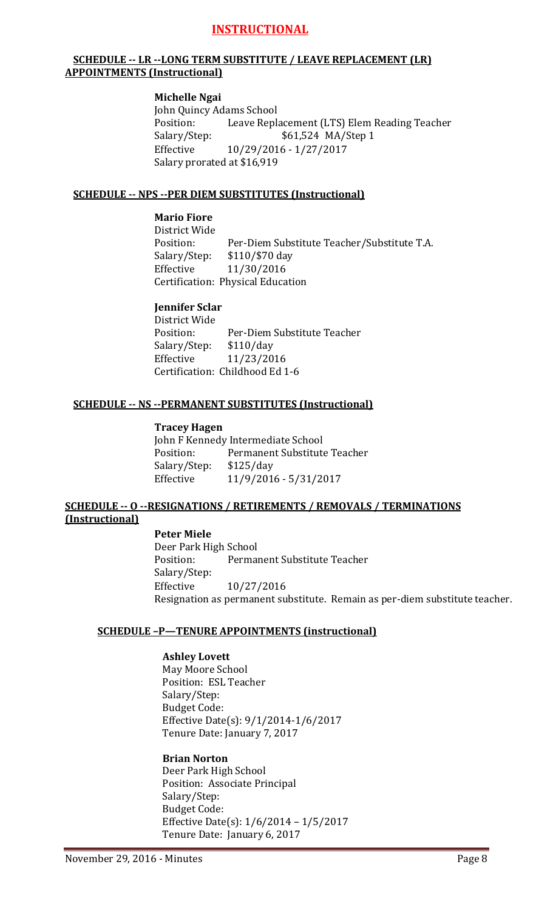# **INSTRUCTIONAL**

#### **SCHEDULE -- LR --LONG TERM SUBSTITUTE / LEAVE REPLACEMENT (LR) APPOINTMENTS (Instructional)**

#### **Michelle Ngai**

John Quincy Adams School<br>Position: Leave Repla Position: Leave Replacement (LTS) Elem Reading Teacher<br>Salary/Step: \$61,524 MA/Step 1 Salary/Step: \$61,524 MA/Step 1<br>Effective 10/29/2016 - 1/27/2017 Effective 10/29/2016 - 1/27/2017 Salary prorated at \$16,919

#### **SCHEDULE -- NPS --PER DIEM SUBSTITUTES (Instructional)**

#### **Mario Fiore**

District Wide Per-Diem Substitute Teacher/Substitute T.A.<br>\$110/\$70 day Salary/Step:<br>Effective Effective 11/30/2016 Certification: Physical Education

#### **Jennifer Sclar**

District Wide<br>Position: Per-Diem Substitute Teacher<br>\$110/day Salary/Step:<br>Effective Effective 11/23/2016 Certification: Childhood Ed 1-6

#### **SCHEDULE -- NS --PERMANENT SUBSTITUTES (Instructional)**

#### **Tracey Hagen**

John F Kennedy Intermediate School<br>Position: Permanent Substitute Permanent Substitute Teacher<br>\$125/day Salary/Step: Effective 11/9/2016 - 5/31/2017

#### **SCHEDULE -- O --RESIGNATIONS / RETIREMENTS / REMOVALS / TERMINATIONS (Instructional)**

#### **Peter Miele** Deer Park High School<br>Position: Permai Permanent Substitute Teacher Salary/Step: Effective 10/27/2016 Resignation as permanent substitute. Remain as per-diem substitute teacher.

#### **SCHEDULE –P—TENURE APPOINTMENTS (instructional)**

#### **Ashley Lovett**

May Moore School Position: ESL Teacher Salary/Step: Budget Code: Effective Date(s): 9/1/2014-1/6/2017 Tenure Date: January 7, 2017

#### **Brian Norton** Deer Park High School Position: Associate Principal Salary/Step: Budget Code: Effective Date(s): 1/6/2014 – 1/5/2017 Tenure Date: January 6, 2017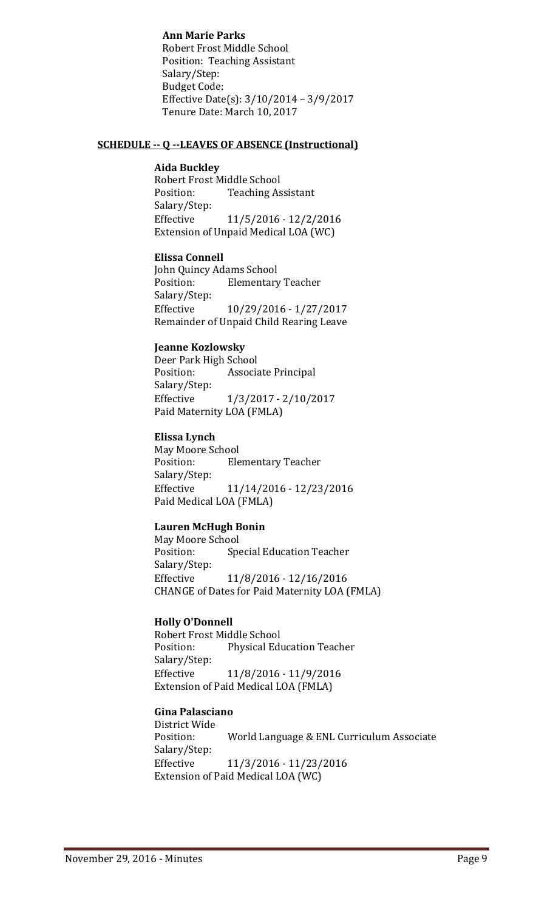#### **Ann Marie Parks**

Robert Frost Middle School Position: Teaching Assistant Salary/Step: Budget Code: Effective Date(s): 3/10/2014 – 3/9/2017 Tenure Date: March 10, 2017

#### **SCHEDULE -- Q --LEAVES OF ABSENCE (Instructional)**

#### **Aida Buckley**

Robert Frost Middle School<br>Position: Teaching As **Teaching Assistant** Salary/Step:<br>Effective Effective 11/5/2016 - 12/2/2016 Extension of Unpaid Medical LOA (WC)

#### **Elissa Connell**

John Quincy Adams School<br>Position: Elementary **Elementary Teacher** Salary/Step: Effective 10/29/2016 - 1/27/2017 Remainder of Unpaid Child Rearing Leave

#### **Jeanne Kozlowsky**

Deer Park High School Associate Principal Salary/Step:<br>Effective Effective 1/3/2017 - 2/10/2017 Paid Maternity LOA (FMLA)

#### **Elissa Lynch**

May Moore School<br>Position: Ele **Elementary Teacher** Salary/Step:<br>Effective Effective 11/14/2016 - 12/23/2016 Paid Medical LOA (FMLA)

#### **Lauren McHugh Bonin**

May Moore School<br>Position: Spe Special Education Teacher Salary/Step: Effective 11/8/2016 - 12/16/2016 CHANGE of Dates for Paid Maternity LOA (FMLA)

#### **Holly O'Donnell**

Robert Frost Middle School<br>Position: Physical Edi Physical Education Teacher Salary/Step:<br>Effective Effective 11/8/2016 - 11/9/2016 Extension of Paid Medical LOA (FMLA)

#### **Gina Palasciano**

District Wide World Language & ENL Curriculum Associate Salary/Step: Effective 11/3/2016 - 11/23/2016 Extension of Paid Medical LOA (WC)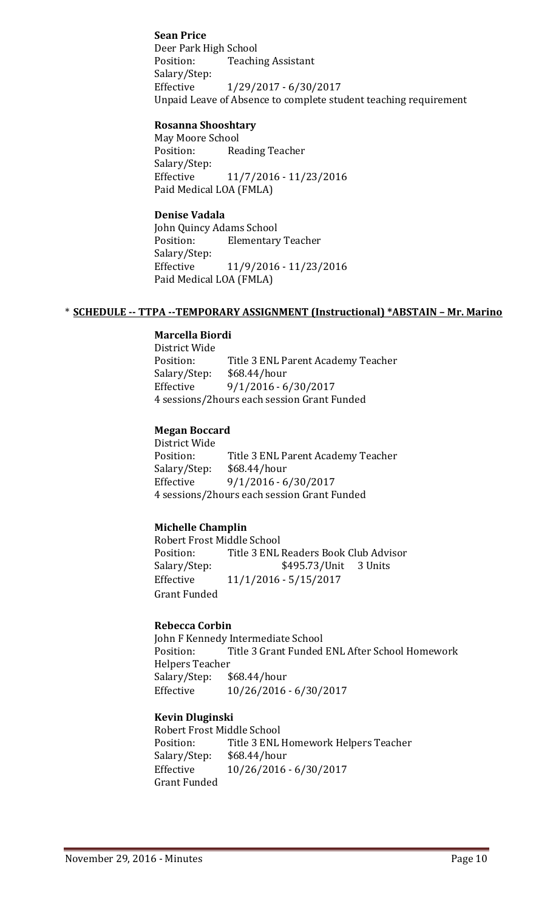#### **Sean Price**

Deer Park High School<br>Position: Teachi **Teaching Assistant** Salary/Step:<br>Effective Effective 1/29/2017 - 6/30/2017 Unpaid Leave of Absence to complete student teaching requirement

#### **Rosanna Shooshtary**

May Moore School<br>Position: Rea Reading Teacher Salary/Step: Effective 11/7/2016 - 11/23/2016 Paid Medical LOA (FMLA)

#### **Denise Vadala**

John Quincy Adams School<br>Position: Elementary **Elementary Teacher** Salary/Step:<br>Effective Effective 11/9/2016 - 11/23/2016 Paid Medical LOA (FMLA)

#### \* **SCHEDULE -- TTPA --TEMPORARY ASSIGNMENT (Instructional) \*ABSTAIN – Mr. Marino**

#### **Marcella Biordi**

District Wide Title 3 ENL Parent Academy Teacher<br>\$68.44/hour Salary/Step: Effective 9/1/2016 - 6/30/2017 4 sessions/2hours each session Grant Funded

#### **Megan Boccard**

District Wide Position: Title 3 ENL Parent Academy Teacher<br>Salary/Step: \$68.44/hour Salary/Step: \$68.44/hour<br>Effective 9/1/2016 - 6 Effective 9/1/2016 - 6/30/2017 4 sessions/2hours each session Grant Funded

#### **Michelle Champlin**

Robert Frost Middle School<br>Position: Title 3 ENL Position: Title 3 ENL Readers Book Club Advisor<br>Salary/Step: \$495.73/Unit 3 Units \$495.73/Unit Effective 11/1/2016 - 5/15/2017 Grant Funded

#### **Rebecca Corbin**

John F Kennedy Intermediate School<br>Position: Title 3 Grant Funded Title 3 Grant Funded ENL After School Homework Helpers Teacher<br>Salary/Step: \$68.44/hour Salary/Step: Effective 10/26/2016 - 6/30/2017

#### **Kevin Dluginski**

Robert Frost Middle School<br>Position: Title 3 ENL Title 3 ENL Homework Helpers Teacher<br>\$68.44/hour Salary/Step: Effective 10/26/2016 - 6/30/2017 Grant Funded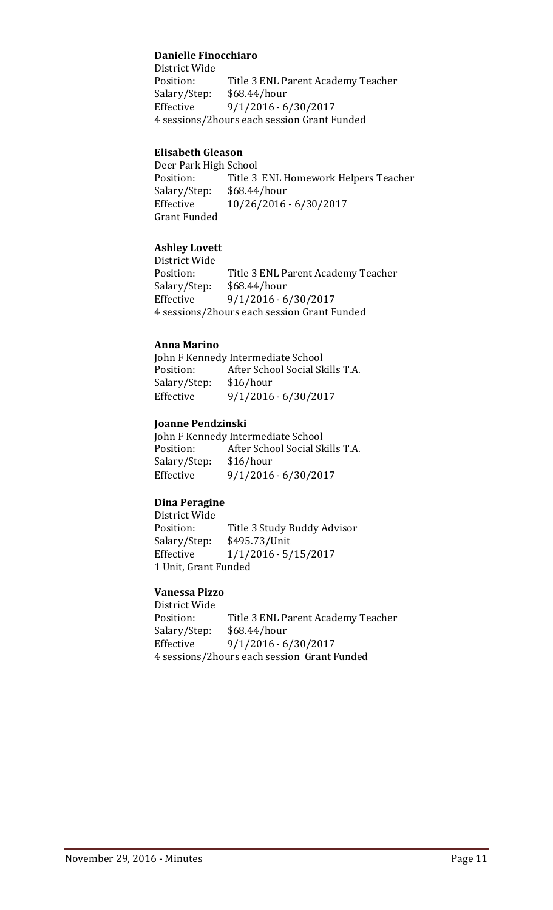#### **Danielle Finocchiaro**

District Wide<br>Position: Position: Title 3 ENL Parent Academy Teacher<br>Salary/Step: \$68.44/hour  $$68.44/hour$ Effective 9/1/2016 - 6/30/2017 4 sessions/2hours each session Grant Funded

#### **Elisabeth Gleason**

Deer Park High School<br>Position: Title 3 Title 3 ENL Homework Helpers Teacher<br>\$68.44/hour Salary/Step:<br>Effective Effective 10/26/2016 - 6/30/2017 Grant Funded

#### **Ashley Lovett**

District Wide Title 3 ENL Parent Academy Teacher<br>\$68.44/hour Salary/Step: Effective 9/1/2016 - 6/30/2017 4 sessions/2hours each session Grant Funded

#### **Anna Marino**

John F Kennedy Intermediate School<br>Position: After School Social Sk After School Social Skills T.A.<br>\$16/hour Salary/Step: Effective 9/1/2016 - 6/30/2017

#### **Joanne Pendzinski**

John F Kennedy Intermediate School<br>Position: After School Social Sk After School Social Skills T.A.<br>\$16/hour Salary/Step:<br>Effective Effective 9/1/2016 - 6/30/2017

#### **Dina Peragine**

District Wide Title 3 Study Buddy Advisor<br>\$495.73/Unit Salary/Step: Effective 1/1/2016 - 5/15/2017 1 Unit, Grant Funded

#### **Vanessa Pizzo**

District Wide Position: Title 3 ENL Parent Academy Teacher<br>Salary/Step: \$68.44/hour Salary/Step: \$68.44/hour<br>Effective 9/1/2016 - 6 Effective 9/1/2016 - 6/30/2017 4 sessions/2hours each session Grant Funded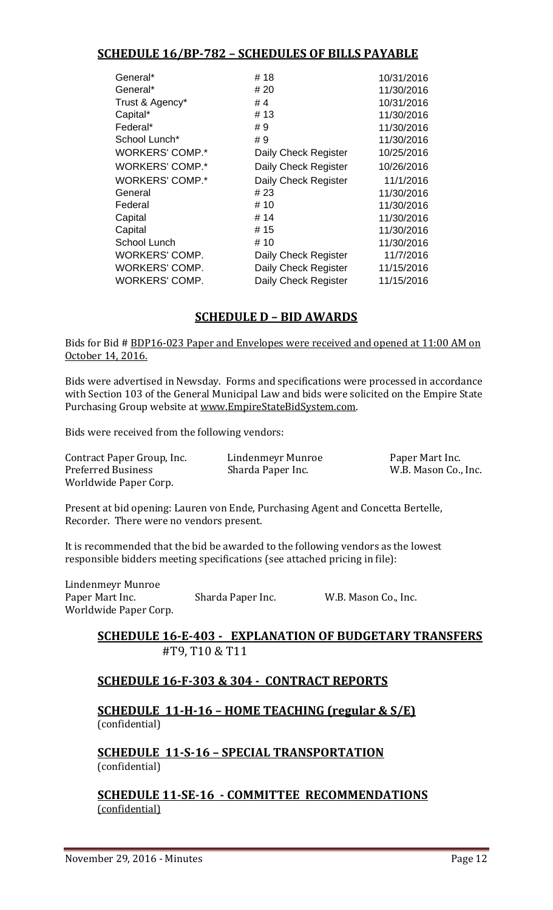# **SCHEDULE 16/BP-782 – SCHEDULES OF BILLS PAYABLE**

| General*               | #18                  | 10/31/2016 |
|------------------------|----------------------|------------|
| General*               | # 20                 | 11/30/2016 |
| Trust & Agency*        | #4                   | 10/31/2016 |
| Capital*               | #13                  | 11/30/2016 |
| Federal*               | #9                   | 11/30/2016 |
| School Lunch*          | #9                   | 11/30/2016 |
| <b>WORKERS' COMP.*</b> | Daily Check Register | 10/25/2016 |
| <b>WORKERS' COMP.*</b> | Daily Check Register | 10/26/2016 |
| <b>WORKERS' COMP.*</b> | Daily Check Register | 11/1/2016  |
| General                | # 23                 | 11/30/2016 |
| Federal                | # 10                 | 11/30/2016 |
| Capital                | # 14                 | 11/30/2016 |
| Capital                | # 15                 | 11/30/2016 |
| School Lunch           | # 10                 | 11/30/2016 |
| WORKERS' COMP.         | Daily Check Register | 11/7/2016  |
| WORKERS' COMP.         | Daily Check Register | 11/15/2016 |
| WORKERS' COMP.         | Daily Check Register | 11/15/2016 |

# **SCHEDULE D – BID AWARDS**

Bids for Bid # BDP16-023 Paper and Envelopes were received and opened at 11:00 AM on October 14, 2016.

Bids were advertised in Newsday. Forms and specifications were processed in accordance with Section 103 of the General Municipal Law and bids were solicited on the Empire State Purchasing Group website at [www.EmpireStateBidSystem.com.](http://www.empirestatebidsystem.com/)

Bids were received from the following vendors:

Contract Paper Group, Inc. Lindenmeyr Munroe Paper Mart Inc. Worldwide Paper Corp.

W.B. Mason Co., Inc.

Present at bid opening: Lauren von Ende, Purchasing Agent and Concetta Bertelle, Recorder. There were no vendors present.

It is recommended that the bid be awarded to the following vendors as the lowest responsible bidders meeting specifications (see attached pricing in file):

Lindenmeyr Munroe Sharda Paper Inc. W.B. Mason Co., Inc. Worldwide Paper Corp.

## **SCHEDULE 16-E-403 - EXPLANATION OF BUDGETARY TRANSFERS** #T9, T10 & T11

# **SCHEDULE 16-F-303 & 304 - CONTRACT REPORTS**

**SCHEDULE 11-H-16 – HOME TEACHING (regular & S/E)**  (confidential)

**SCHEDULE 11-S-16 – SPECIAL TRANSPORTATION**  (confidential)

**SCHEDULE 11-SE-16 - COMMITTEE RECOMMENDATIONS** (confidential)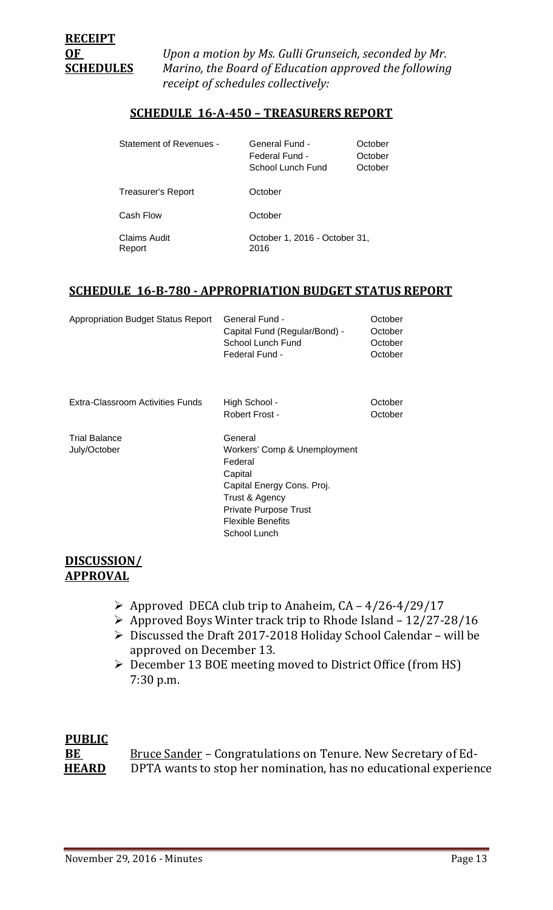**OF** *Upon a motion by Ms. Gulli Grunseich, seconded by Mr.*  **SCHEDULES** *Marino, the Board of Education approved the following receipt of schedules collectively:*

### **SCHEDULE 16-A-450 – TREASURERS REPORT**

| <b>Statement of Revenues -</b> | General Fund -<br>Federal Fund -<br>School Lunch Fund | October<br>October<br>October |
|--------------------------------|-------------------------------------------------------|-------------------------------|
| Treasurer's Report             | October                                               |                               |
| Cash Flow                      | October                                               |                               |
| Claims Audit<br>Report         | October 1, 2016 - October 31,<br>2016                 |                               |

#### **SCHEDULE 16-B-780 - APPROPRIATION BUDGET STATUS REPORT**

| Appropriation Budget Status Report | <b>General Fund -</b>         | October |
|------------------------------------|-------------------------------|---------|
|                                    | Capital Fund (Regular/Bond) - | October |
|                                    | School Lunch Fund             | October |
|                                    | Federal Fund -                | October |
|                                    |                               |         |

Extra-Classroom Activities Funds High School - Corober

Trial Balance General

July/October Workers' Comp & Unemployment Federal **Capital** Capital Energy Cons. Proj. Trust & Agency Private Purpose Trust Flexible Benefits School Lunch

Robert Frost - October

#### **DISCUSSION/ APPROVAL**

- $\triangleright$  Approved DECA club trip to Anaheim, CA 4/26-4/29/17
- $\triangleright$  Approved Boys Winter track trip to Rhode Island 12/27-28/16
- Discussed the Draft 2017-2018 Holiday School Calendar will be approved on December 13.
- December 13 BOE meeting moved to District Office (from HS) 7:30 p.m.

## **PUBLIC**

**BE Bruce Sander – Congratulations on Tenure. New Secretary of Ed-<br>HEARD** DPTA wants to stop her nomination, has no educational experiency DPTA wants to stop her nomination, has no educational experience